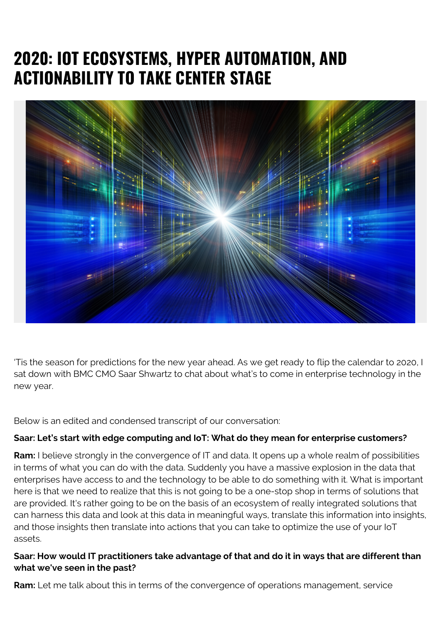# **2020: IOT ECOSYSTEMS, HYPER AUTOMATION, AND ACTIONABILITY TO TAKE CENTER STAGE**



'Tis the season for predictions for the new year ahead. As we get ready to flip the calendar to 2020, I sat down with BMC CMO Saar Shwartz to chat about what's to come in enterprise technology in the new year.

Below is an edited and condensed transcript of our conversation:

### **Saar: Let's start with edge computing and IoT: What do they mean for enterprise customers?**

**Ram:** I believe strongly in the convergence of IT and data. It opens up a whole realm of possibilities in terms of what you can do with the data. Suddenly you have a massive explosion in the data that enterprises have access to and the technology to be able to do something with it. What is important here is that we need to realize that this is not going to be a one-stop shop in terms of solutions that are provided. It's rather going to be on the basis of an ecosystem of really integrated solutions that can harness this data and look at this data in meaningful ways, translate this information into insights, and those insights then translate into actions that you can take to optimize the use of your IoT assets.

## **Saar: How would IT practitioners take advantage of that and do it in ways that are different than what we've seen in the past?**

**Ram:** Let me talk about this in terms of the convergence of operations management, service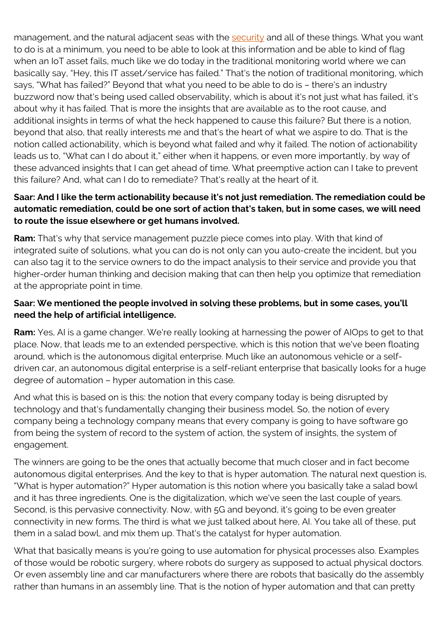management, and the natural adjacent seas with the [security](https://blogs.bmc.com/blogs/security-vulnerability-vs-threat-vs-risk-whats-difference/) and all of these things. What you want to do is at a minimum, you need to be able to look at this information and be able to kind of flag when an IoT asset fails, much like we do today in the traditional monitoring world where we can basically say, "Hey, this IT asset/service has failed." That's the notion of traditional monitoring, which says, "What has failed?" Beyond that what you need to be able to do is – there's an industry buzzword now that's being used called observability, which is about it's not just what has failed, it's about why it has failed. That is more the insights that are available as to the root cause, and additional insights in terms of what the heck happened to cause this failure? But there is a notion, beyond that also, that really interests me and that's the heart of what we aspire to do. That is the notion called actionability, which is beyond what failed and why it failed. The notion of actionability leads us to, "What can I do about it," either when it happens, or even more importantly, by way of these advanced insights that I can get ahead of time. What preemptive action can I take to prevent this failure? And, what can I do to remediate? That's really at the heart of it.

### **Saar: And I like the term actionability because it's not just remediation. The remediation could be automatic remediation, could be one sort of action that's taken, but in some cases, we will need to route the issue elsewhere or get humans involved.**

**Ram:** That's why that service management puzzle piece comes into play. With that kind of integrated suite of solutions, what you can do is not only can you auto-create the incident, but you can also tag it to the service owners to do the impact analysis to their service and provide you that higher-order human thinking and decision making that can then help you optimize that remediation at the appropriate point in time.

## **Saar: We mentioned the people involved in solving these problems, but in some cases, you'll need the help of artificial intelligence.**

**Ram:** Yes, AI is a game changer. We're really looking at harnessing the power of AIOps to get to that place. Now, that leads me to an extended perspective, which is this notion that we've been floating around, which is the autonomous digital enterprise. Much like an autonomous vehicle or a selfdriven car, an autonomous digital enterprise is a self-reliant enterprise that basically looks for a huge degree of automation – hyper automation in this case.

And what this is based on is this: the notion that every company today is being disrupted by technology and that's fundamentally changing their business model. So, the notion of every company being a technology company means that every company is going to have software go from being the system of record to the system of action, the system of insights, the system of engagement.

The winners are going to be the ones that actually become that much closer and in fact become autonomous digital enterprises. And the key to that is hyper automation. The natural next question is, "What is hyper automation?" Hyper automation is this notion where you basically take a salad bowl and it has three ingredients. One is the digitalization, which we've seen the last couple of years. Second, is this pervasive connectivity. Now, with 5G and beyond, it's going to be even greater connectivity in new forms. The third is what we just talked about here, AI. You take all of these, put them in a salad bowl, and mix them up. That's the catalyst for hyper automation.

What that basically means is you're going to use automation for physical processes also. Examples of those would be robotic surgery, where robots do surgery as supposed to actual physical doctors. Or even assembly line and car manufacturers where there are robots that basically do the assembly rather than humans in an assembly line. That is the notion of hyper automation and that can pretty